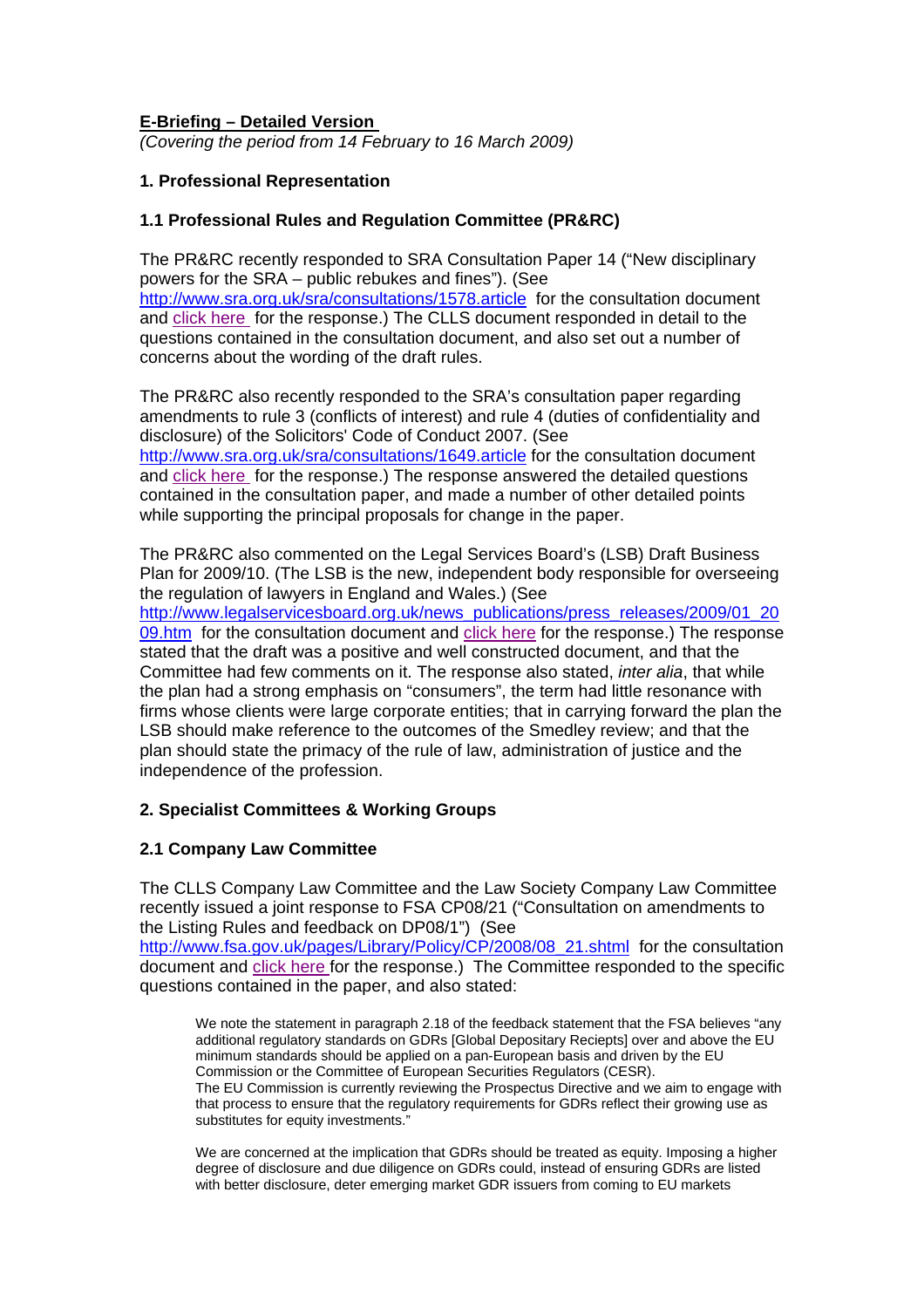#### **E-Briefing – Detailed Version**

*(Covering the period from 14 February to 16 March 2009)* 

#### **1. Professional Representation**

#### **1.1 Professional Rules and Regulation Committee (PR&RC)**

The PR&RC recently responded to SRA Consultation Paper 14 ("New disciplinary powers for the SRA – public rebukes and fines"). (See <http://www.sra.org.uk/sra/consultations/1578.article> for the consultation document and click here for the response.) The CLLS document responded in detail to the questions contained in the consultation document, and also set out a number of concerns about the wording of the draft rules.

The PR&RC also recently responded to the SRA's consultation paper regarding amendments to rule 3 (conflicts of interest) and rule 4 (duties of confidentiality and disclosure) of the Solicitors' Code of Conduct 2007. (See <http://www.sra.org.uk/sra/consultations/1649.article> for the consultation document

and click here for the response.) The response answered the detailed questions contained in the consultation paper, and made a number of other detailed points while supporting the principal proposals for change in the paper.

The PR&RC also commented on the Legal Services Board's (LSB) Draft Business Plan for 2009/10. (The LSB is the new, independent body responsible for overseeing the regulation of lawyers in England and Wales.) (See [http://www.legalservicesboard.org.uk/news\\_publications/press\\_releases/2009/01\\_20](http://www.legalservicesboard.org.uk/news_publications/press_releases/2009/01_2009.htm) [09.htm](http://www.legalservicesboard.org.uk/news_publications/press_releases/2009/01_2009.htm) for the consultation document and click here for the response.) The response stated that the draft was a positive and well constructed document, and that the Committee had few comments on it. The response also stated, *inter alia*, that while the plan had a strong emphasis on "consumers", the term had little resonance with firms whose clients were large corporate entities; that in carrying forward the plan the LSB should make reference to the outcomes of the Smedley review; and that the plan should state the primacy of the rule of law, administration of justice and the independence of the profession.

## **2. Specialist Committees & Working Groups**

## **2.1 Company Law Committee**

The CLLS Company Law Committee and the Law Society Company Law Committee recently issued a joint response to FSA CP08/21 ("Consultation on amendments to the Listing Rules and feedback on DP08/1") (See [http://www.fsa.gov.uk/pages/Library/Policy/CP/2008/08\\_21.shtml](http://www.fsa.gov.uk/pages/Library/Policy/CP/2008/08_21.shtml) for the consultation document and click here for the response.) The Committee responded to the specific questions contained in the paper, and also stated:

We note the statement in paragraph 2.18 of the feedback statement that the FSA believes "any additional regulatory standards on GDRs [Global Depositary Reciepts] over and above the EU minimum standards should be applied on a pan-European basis and driven by the EU Commission or the Committee of European Securities Regulators (CESR). The EU Commission is currently reviewing the Prospectus Directive and we aim to engage with that process to ensure that the regulatory requirements for GDRs reflect their growing use as substitutes for equity investments."

We are concerned at the implication that GDRs should be treated as equity. Imposing a higher degree of disclosure and due diligence on GDRs could, instead of ensuring GDRs are listed with better disclosure, deter emerging market GDR issuers from coming to EU markets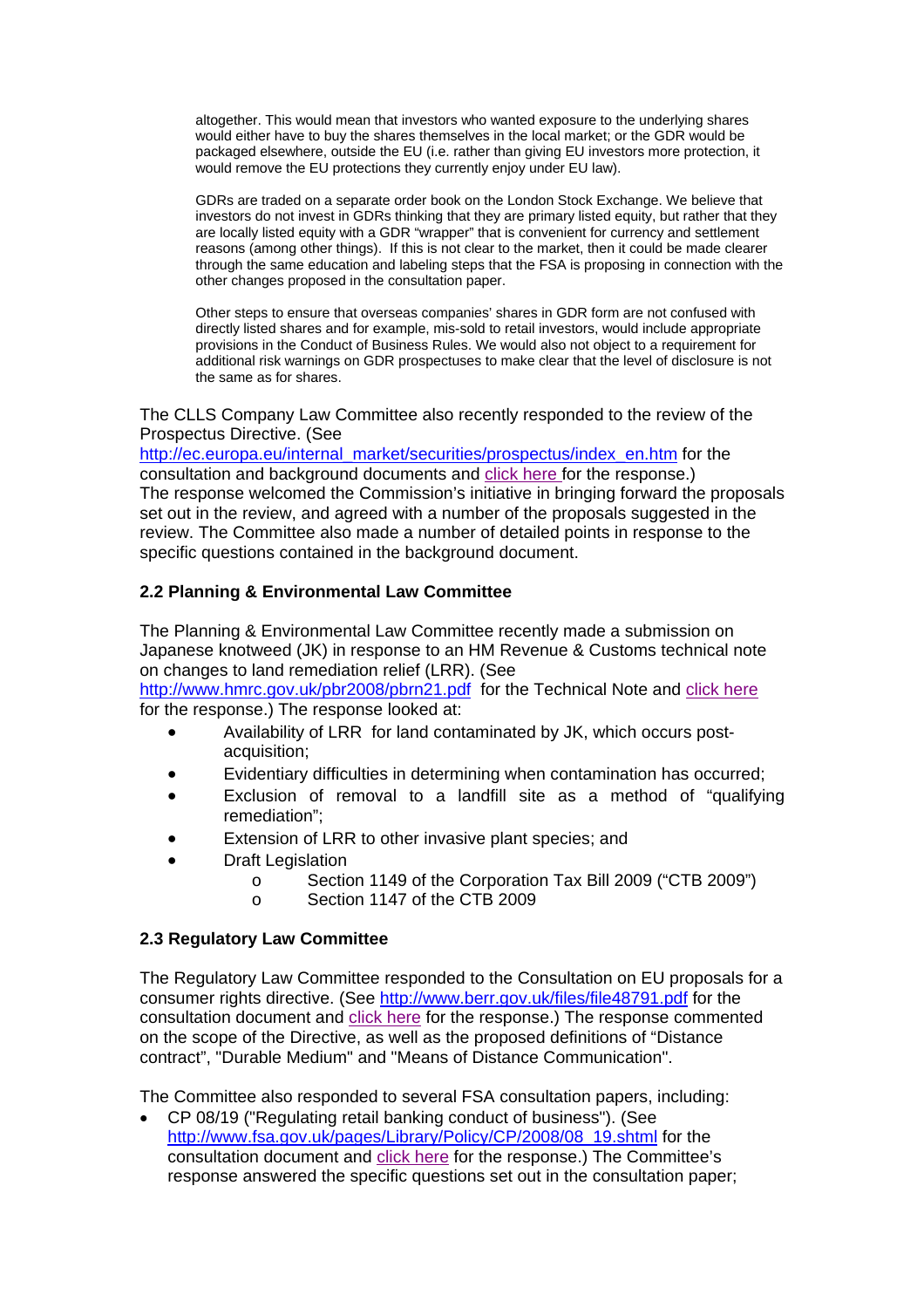altogether. This would mean that investors who wanted exposure to the underlying shares would either have to buy the shares themselves in the local market; or the GDR would be packaged elsewhere, outside the EU (i.e. rather than giving EU investors more protection, it would remove the EU protections they currently enjoy under EU law).

GDRs are traded on a separate order book on the London Stock Exchange. We believe that investors do not invest in GDRs thinking that they are primary listed equity, but rather that they are locally listed equity with a GDR "wrapper" that is convenient for currency and settlement reasons (among other things). If this is not clear to the market, then it could be made clearer through the same education and labeling steps that the FSA is proposing in connection with the other changes proposed in the consultation paper.

Other steps to ensure that overseas companies' shares in GDR form are not confused with directly listed shares and for example, mis-sold to retail investors, would include appropriate provisions in the Conduct of Business Rules. We would also not object to a requirement for additional risk warnings on GDR prospectuses to make clear that the level of disclosure is not the same as for shares.

The CLLS Company Law Committee also recently responded to the review of the Prospectus Directive. (See

[http://ec.europa.eu/internal\\_market/securities/prospectus/index\\_en.htm](http://ec.europa.eu/internal_market/securities/prospectus/index_en.htm) for the consultation and background documents and click here for the response.) The response welcomed the Commission's initiative in bringing forward the proposals set out in the review, and agreed with a number of the proposals suggested in the review. The Committee also made a number of detailed points in response to the specific questions contained in the background document.

# **2.2 Planning & Environmental Law Committee**

The Planning & Environmental Law Committee recently made a submission on Japanese knotweed (JK) in response to an HM Revenue & Customs technical note on changes to land remediation relief (LRR). (See

<http://www.hmrc.gov.uk/pbr2008/pbrn21.pdf> for the Technical Note and click here for the response.) The response looked at:

- Availability of LRR for land contaminated by JK, which occurs postacquisition;
- Evidentiary difficulties in determining when contamination has occurred;
- Exclusion of removal to a landfill site as a method of "qualifying remediation";
- Extension of LRR to other invasive plant species; and
- **Draft Legislation** 
	- o Section 1149 of the Corporation Tax Bill 2009 ("CTB 2009")
	- o Section 1147 of the CTB 2009

## **2.3 Regulatory Law Committee**

The Regulatory Law Committee responded to the Consultation on EU proposals for a consumer rights directive. (See http://www.berr.gov.uk/files/file48791.pdf [for the](http://www.berr.gov.uk/files/file48791.pdf)  [consultation document and c](http://www.berr.gov.uk/files/file48791.pdf)lick her[e for the response.\) The response commented](http://www.citysolicitors.org.uk/FileServer.aspx?oID=515&lID=0)  [on the scope of the Directive, as well as the proposed definitions of "Distance](http://www.citysolicitors.org.uk/FileServer.aspx?oID=515&lID=0)  [contract", "Durable Medium" and "Means of Distance Communication".](http://www.citysolicitors.org.uk/FileServer.aspx?oID=515&lID=0) 

The Committee also responded to several FSA consultation papers, including:

• CP 08/19 ("Regulating retail banking conduct of business"). (See [http://www.fsa.gov.uk/pages/Library/Policy/CP/2008/08\\_19.shtml](http://www.fsa.gov.uk/pages/Library/Policy/CP/2008/08_19.shtml) for the consultation document and [click here](http://www.citysolicitors.org.uk/FileServer.aspx?oID=521&lID=0) for the response.) The Committee's response answered the specific questions set out in the consultation paper;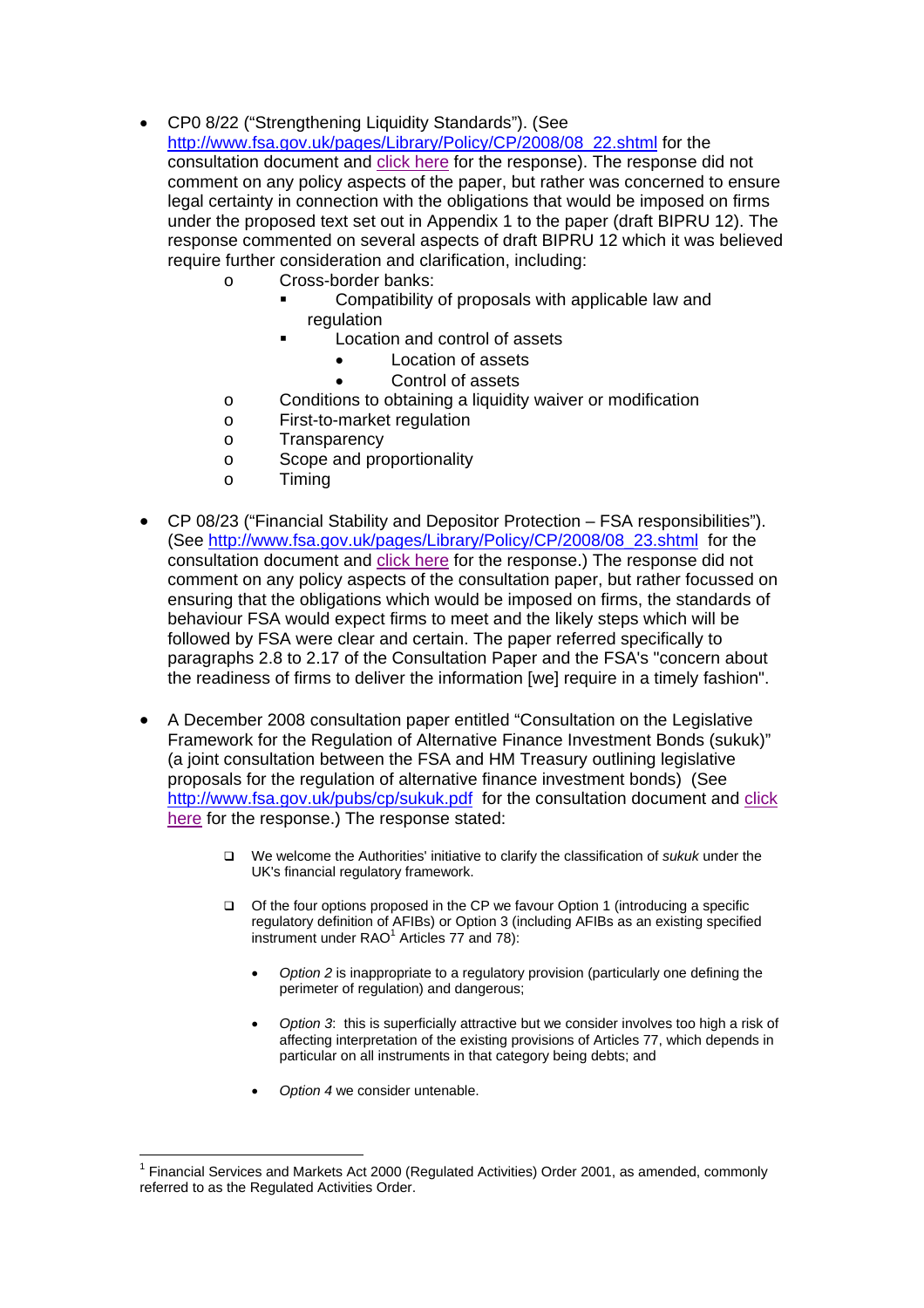- CP0 8/22 ("Strengthening Liquidity Standards"). (See [http://www.fsa.gov.uk/pages/Library/Policy/CP/2008/08\\_22.shtml](http://www.fsa.gov.uk/pages/Library/Policy/CP/2008/08_22.shtml) for the consultation document and click here for the response). The response did not comment on any policy aspects of the paper, but rather was concerned to ensure legal certainty in connection with the obligations that would be imposed on firms under the proposed text set out in Appendix 1 to the paper (draft BIPRU 12). The response commented on several aspects of draft BIPRU 12 which it was believed require further consideration and clarification, including:
	- o Cross-border banks:
		- Compatibility of proposals with applicable law and regulation
		- **Location and control of assets** 
			- Location of assets
				- Control of assets
	- o Conditions to obtaining a liquidity waiver or modification
	- o First-to-market regulation
	- o Transparency
	- o Scope and proportionality
	- o Timing
- CP 08/23 ("Financial Stability and Depositor Protection FSA responsibilities"). (See [http://www.fsa.gov.uk/pages/Library/Policy/CP/2008/08\\_23.shtml](http://www.fsa.gov.uk/pages/Library/Policy/CP/2008/08_23.shtml) for the consultation document and click here for the response.) The response did not comment on any policy aspects of the consultation paper, but rather focussed on ensuring that the obligations which would be imposed on firms, the standards of behaviour FSA would expect firms to meet and the likely steps which will be followed by FSA were clear and certain. The paper referred specifically to paragraphs 2.8 to 2.17 of the Consultation Paper and the FSA's "concern about the readiness of firms to deliver the information [we] require in a timely fashion".
- A December 2008 consultation paper entitled "Consultation on the Legislative Framework for the Regulation of Alternative Finance Investment Bonds (sukuk)" (a joint consultation between the FSA and HM Treasury outlining legislative proposals for the regulation of alternative finance investment bonds) (See <http://www.fsa.gov.uk/pubs/cp/sukuk.pdf> for the consultation document and click here for the response.) The response stated:
	- We welcome the Authorities' initiative to clarify the classification of *sukuk* under the UK's financial regulatory framework.
	- Of the four options proposed in the CP we favour Option 1 (introducing a specific regulatory definition of AFIBs) or Option 3 (including AFIBs as an existing specified instrument under  $RAO<sup>1</sup>$  Articles 77 and 78):
		- *Option 2* is inappropriate to a regulatory provision (particularly one defining the perimeter of regulation) and dangerous;
		- *Option 3*: this is superficially attractive but we consider involves too high a risk of affecting interpretation of the existing provisions of Articles 77, which depends in particular on all instruments in that category being debts; and
		- *Option 4* we consider untenable.

<span id="page-2-0"></span> $\overline{a}$ <sup>1</sup> Financial Services and Markets Act 2000 (Regulated Activities) Order 2001, as amended, commonly referred to as the Regulated Activities Order.